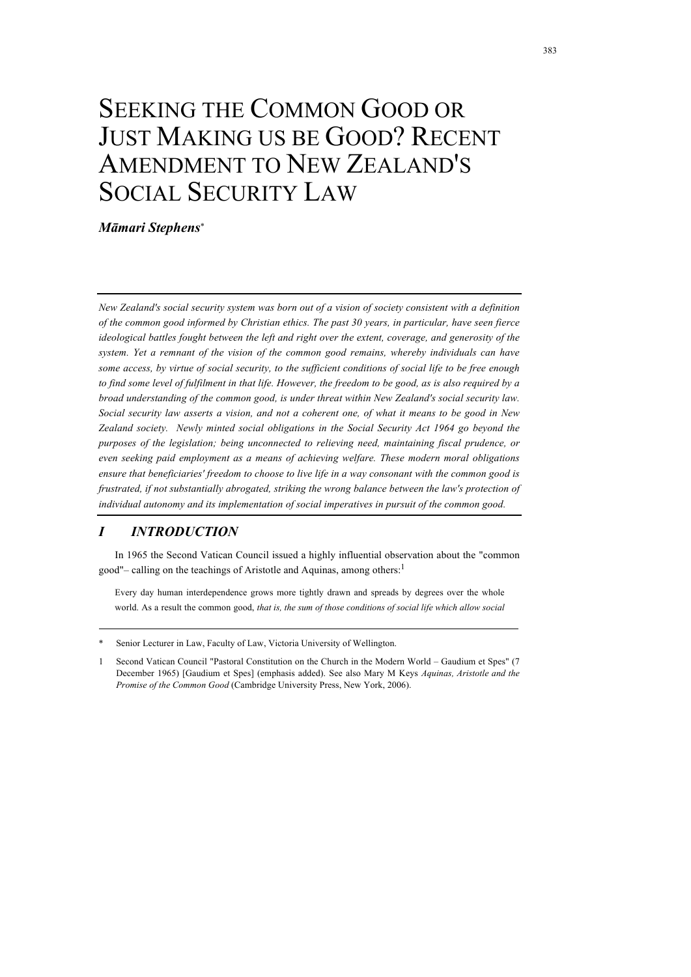# SEEKING THE COMMON GOOD OR JUST MAKING US BE GOOD? RECENT AMENDMENT TO NEW ZEALAND'S SOCIAL SECURITY LAW

*Māmari Stephens*\*

*New Zealand's social security system was born out of a vision of society consistent with a definition of the common good informed by Christian ethics. The past 30 years, in particular, have seen fierce ideological battles fought between the left and right over the extent, coverage, and generosity of the system. Yet a remnant of the vision of the common good remains, whereby individuals can have some access, by virtue of social security, to the sufficient conditions of social life to be free enough to find some level of fulfilment in that life. However, the freedom to be good, as is also required by a broad understanding of the common good, is under threat within New Zealand's social security law. Social security law asserts a vision, and not a coherent one, of what it means to be good in New Zealand society. Newly minted social obligations in the Social Security Act 1964 go beyond the purposes of the legislation; being unconnected to relieving need, maintaining fiscal prudence, or even seeking paid employment as a means of achieving welfare. These modern moral obligations ensure that beneficiaries' freedom to choose to live life in a way consonant with the common good is frustrated, if not substantially abrogated, striking the wrong balance between the law's protection of individual autonomy and its implementation of social imperatives in pursuit of the common good.*

# *I INTRODUCTION*

In 1965 the Second Vatican Council issued a highly influential observation about the "common good"– calling on the teachings of Aristotle and Aquinas, among others:1

Every day human interdependence grows more tightly drawn and spreads by degrees over the whole world. As a result the common good, *that is, the sum of those conditions of social life which allow social* 

Senior Lecturer in Law, Faculty of Law, Victoria University of Wellington.

<sup>1</sup> Second Vatican Council "Pastoral Constitution on the Church in the Modern World – Gaudium et Spes" (7 December 1965) [Gaudium et Spes] (emphasis added). See also Mary M Keys *Aquinas, Aristotle and the Promise of the Common Good* (Cambridge University Press, New York, 2006).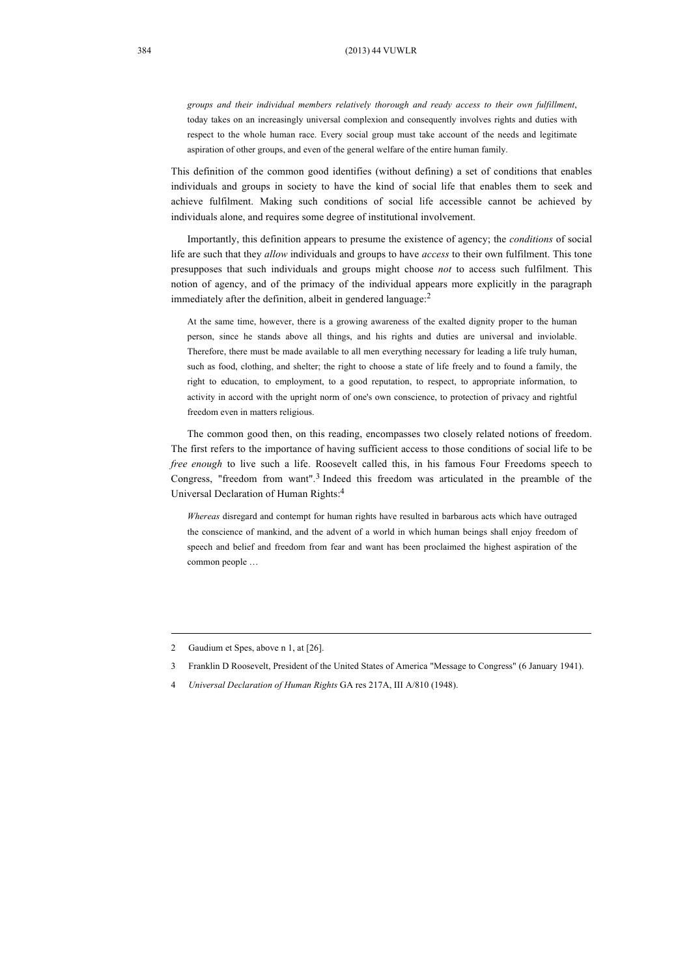*groups and their individual members relatively thorough and ready access to their own fulfillment*, today takes on an increasingly universal complexion and consequently involves rights and duties with respect to the whole human race. Every social group must take account of the needs and legitimate aspiration of other groups, and even of the general welfare of the entire human family.

This definition of the common good identifies (without defining) a set of conditions that enables individuals and groups in society to have the kind of social life that enables them to seek and achieve fulfilment. Making such conditions of social life accessible cannot be achieved by individuals alone, and requires some degree of institutional involvement.

Importantly, this definition appears to presume the existence of agency; the *conditions* of social life are such that they *allow* individuals and groups to have *access* to their own fulfilment. This tone presupposes that such individuals and groups might choose *not* to access such fulfilment. This notion of agency, and of the primacy of the individual appears more explicitly in the paragraph immediately after the definition, albeit in gendered language: 2

At the same time, however, there is a growing awareness of the exalted dignity proper to the human person, since he stands above all things, and his rights and duties are universal and inviolable. Therefore, there must be made available to all men everything necessary for leading a life truly human, such as food, clothing, and shelter; the right to choose a state of life freely and to found a family, the right to education, to employment, to a good reputation, to respect, to appropriate information, to activity in accord with the upright norm of one's own conscience, to protection of privacy and rightful freedom even in matters religious.

The common good then, on this reading, encompasses two closely related notions of freedom. The first refers to the importance of having sufficient access to those conditions of social life to be *free enough* to live such a life. Roosevelt called this, in his famous Four Freedoms speech to Congress, "freedom from want". 3 Indeed this freedom was articulated in the preamble of the Universal Declaration of Human Rights:4

*Whereas* disregard and contempt for human rights have resulted in barbarous acts which have outraged the conscience of mankind, and the advent of a world in which human beings shall enjoy freedom of speech and belief and freedom from fear and want has been proclaimed the highest aspiration of the common people …

<sup>2</sup> Gaudium et Spes, above n 1, at [26].

<sup>3</sup> Franklin D Roosevelt, President of the United States of America "Message to Congress" (6 January 1941).

<sup>4</sup> *Universal Declaration of Human Rights* GA res 217A, III A/810 (1948).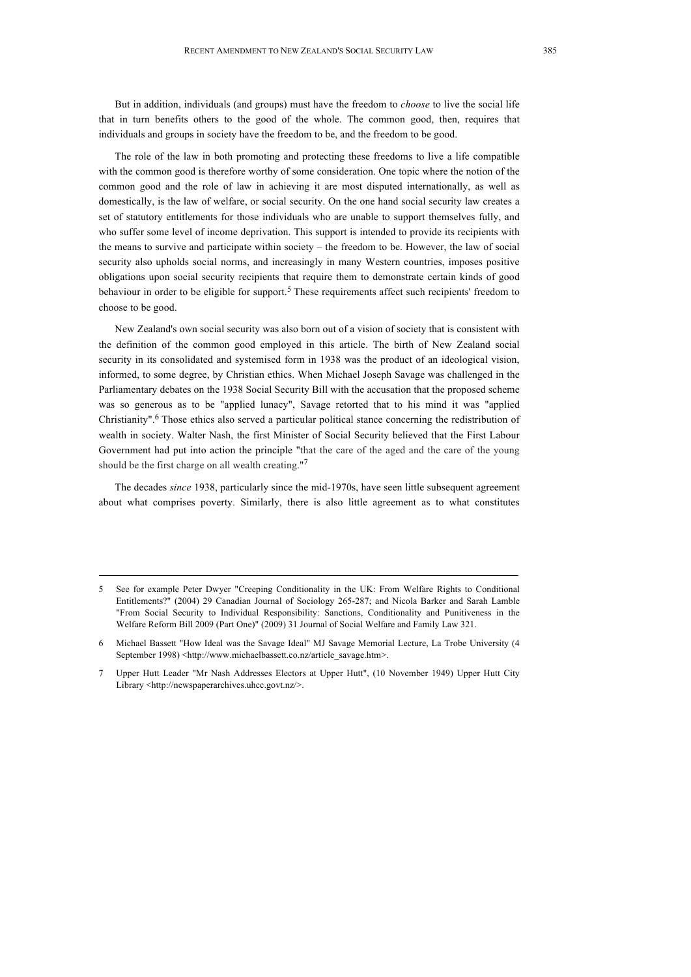But in addition, individuals (and groups) must have the freedom to *choose* to live the social life that in turn benefits others to the good of the whole. The common good, then, requires that individuals and groups in society have the freedom to be, and the freedom to be good.

The role of the law in both promoting and protecting these freedoms to live a life compatible with the common good is therefore worthy of some consideration. One topic where the notion of the common good and the role of law in achieving it are most disputed internationally, as well as domestically, is the law of welfare, or social security. On the one hand social security law creates a set of statutory entitlements for those individuals who are unable to support themselves fully, and who suffer some level of income deprivation. This support is intended to provide its recipients with the means to survive and participate within society – the freedom to be. However, the law of social security also upholds social norms, and increasingly in many Western countries, imposes positive obligations upon social security recipients that require them to demonstrate certain kinds of good behaviour in order to be eligible for support.<sup>5</sup> These requirements affect such recipients' freedom to choose to be good.

New Zealand's own social security was also born out of a vision of society that is consistent with the definition of the common good employed in this article. The birth of New Zealand social security in its consolidated and systemised form in 1938 was the product of an ideological vision, informed, to some degree, by Christian ethics. When Michael Joseph Savage was challenged in the Parliamentary debates on the 1938 Social Security Bill with the accusation that the proposed scheme was so generous as to be "applied lunacy", Savage retorted that to his mind it was "applied Christianity". <sup>6</sup> Those ethics also served a particular political stance concerning the redistribution of wealth in society. Walter Nash, the first Minister of Social Security believed that the First Labour Government had put into action the principle "that the care of the aged and the care of the young should be the first charge on all wealth creating."<sup>7</sup>

The decades *since* 1938, particularly since the mid-1970s, have seen little subsequent agreement about what comprises poverty. Similarly, there is also little agreement as to what constitutes

<sup>5</sup> See for example Peter Dwyer "Creeping Conditionality in the UK: From Welfare Rights to Conditional Entitlements?" (2004) 29 Canadian Journal of Sociology 265-287; and Nicola Barker and Sarah Lamble "From Social Security to Individual Responsibility: Sanctions, Conditionality and Punitiveness in the Welfare Reform Bill 2009 (Part One)" (2009) 31 Journal of Social Welfare and Family Law 321.

<sup>6</sup> Michael Bassett "How Ideal was the Savage Ideal" MJ Savage Memorial Lecture, La Trobe University (4 September 1998) <http://www.michaelbassett.co.nz/article\_savage.htm>.

<sup>7</sup> Upper Hutt Leader "Mr Nash Addresses Electors at Upper Hutt", (10 November 1949) Upper Hutt City Library <http://newspaperarchives.uhcc.govt.nz/>.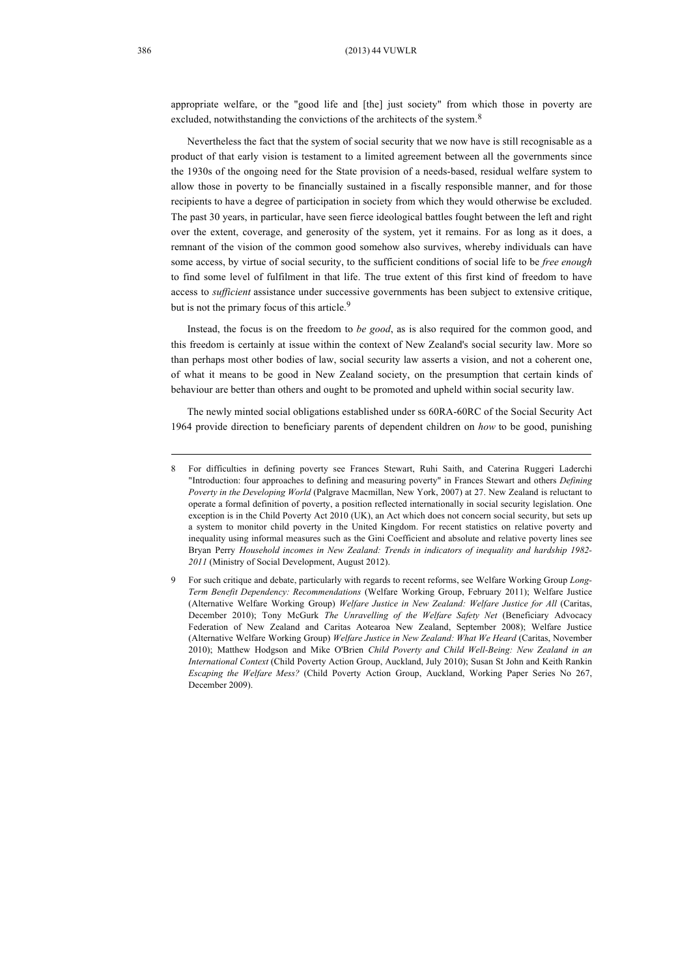appropriate welfare, or the "good life and [the] just society" from which those in poverty are excluded, notwithstanding the convictions of the architects of the system.<sup>8</sup>

Nevertheless the fact that the system of social security that we now have is still recognisable as a product of that early vision is testament to a limited agreement between all the governments since the 1930s of the ongoing need for the State provision of a needs-based, residual welfare system to allow those in poverty to be financially sustained in a fiscally responsible manner, and for those recipients to have a degree of participation in society from which they would otherwise be excluded. The past 30 years, in particular, have seen fierce ideological battles fought between the left and right over the extent, coverage, and generosity of the system, yet it remains. For as long as it does, a remnant of the vision of the common good somehow also survives, whereby individuals can have some access, by virtue of social security, to the sufficient conditions of social life to be *free enough* to find some level of fulfilment in that life. The true extent of this first kind of freedom to have access to *sufficient* assistance under successive governments has been subject to extensive critique, but is not the primary focus of this article.<sup>9</sup>

Instead, the focus is on the freedom to *be good*, as is also required for the common good, and this freedom is certainly at issue within the context of New Zealand's social security law. More so than perhaps most other bodies of law, social security law asserts a vision, and not a coherent one, of what it means to be good in New Zealand society, on the presumption that certain kinds of behaviour are better than others and ought to be promoted and upheld within social security law.

The newly minted social obligations established under ss 60RA-60RC of the Social Security Act 1964 provide direction to beneficiary parents of dependent children on *how* to be good, punishing

<sup>8</sup> For difficulties in defining poverty see Frances Stewart, Ruhi Saith, and Caterina Ruggeri Laderchi "Introduction: four approaches to defining and measuring poverty" in Frances Stewart and others *Defining Poverty in the Developing World* (Palgrave Macmillan, New York, 2007) at 27. New Zealand is reluctant to operate a formal definition of poverty, a position reflected internationally in social security legislation. One exception is in the Child Poverty Act 2010 (UK), an Act which does not concern social security, but sets up a system to monitor child poverty in the United Kingdom. For recent statistics on relative poverty and inequality using informal measures such as the Gini Coefficient and absolute and relative poverty lines see Bryan Perry *Household incomes in New Zealand: Trends in indicators of inequality and hardship 1982- 2011* (Ministry of Social Development, August 2012).

<sup>9</sup> For such critique and debate, particularly with regards to recent reforms, see Welfare Working Group *Long-Term Benefit Dependency: Recommendations* (Welfare Working Group, February 2011); Welfare Justice (Alternative Welfare Working Group) *Welfare Justice in New Zealand: Welfare Justice for All* (Caritas, December 2010); Tony McGurk *The Unravelling of the Welfare Safety Net* (Beneficiary Advocacy Federation of New Zealand and Caritas Aotearoa New Zealand, September 2008); Welfare Justice (Alternative Welfare Working Group) *Welfare Justice in New Zealand: What We Heard* (Caritas, November 2010); Matthew Hodgson and Mike O'Brien *Child Poverty and Child Well-Being: New Zealand in an International Context* (Child Poverty Action Group, Auckland, July 2010); Susan St John and Keith Rankin *Escaping the Welfare Mess?* (Child Poverty Action Group, Auckland, Working Paper Series No 267, December 2009).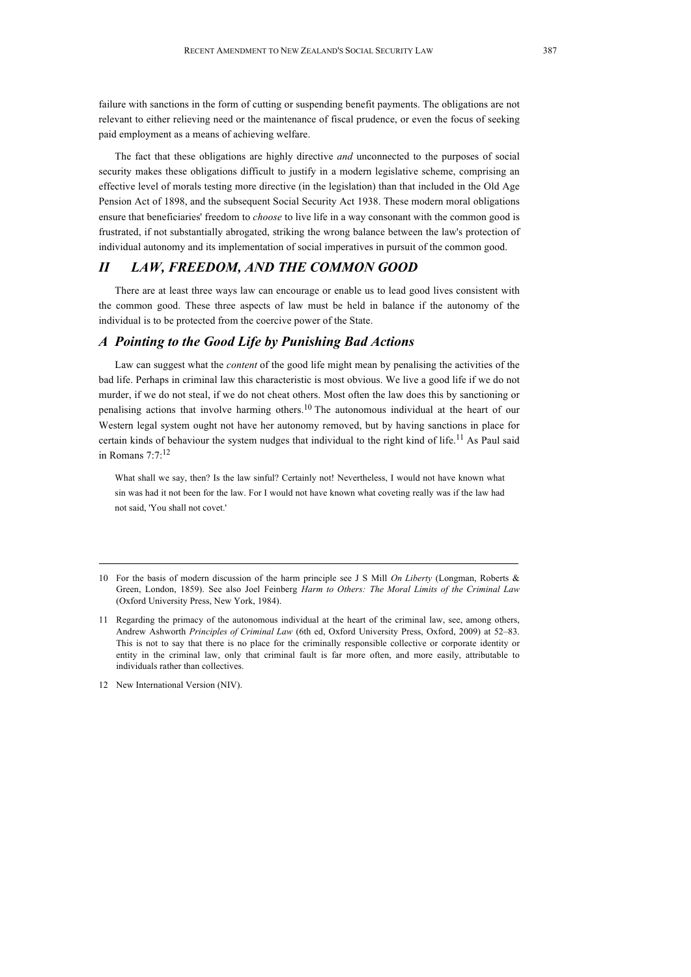failure with sanctions in the form of cutting or suspending benefit payments. The obligations are not relevant to either relieving need or the maintenance of fiscal prudence, or even the focus of seeking paid employment as a means of achieving welfare.

The fact that these obligations are highly directive *and* unconnected to the purposes of social security makes these obligations difficult to justify in a modern legislative scheme, comprising an effective level of morals testing more directive (in the legislation) than that included in the Old Age Pension Act of 1898, and the subsequent Social Security Act 1938. These modern moral obligations ensure that beneficiaries' freedom to *choose* to live life in a way consonant with the common good is frustrated, if not substantially abrogated, striking the wrong balance between the law's protection of individual autonomy and its implementation of social imperatives in pursuit of the common good.

## *II LAW, FREEDOM, AND THE COMMON GOOD*

There are at least three ways law can encourage or enable us to lead good lives consistent with the common good. These three aspects of law must be held in balance if the autonomy of the individual is to be protected from the coercive power of the State.

#### *A Pointing to the Good Life by Punishing Bad Actions*

Law can suggest what the *content* of the good life might mean by penalising the activities of the bad life. Perhaps in criminal law this characteristic is most obvious. We live a good life if we do not murder, if we do not steal, if we do not cheat others. Most often the law does this by sanctioning or penalising actions that involve harming others.<sup>10</sup> The autonomous individual at the heart of our Western legal system ought not have her autonomy removed, but by having sanctions in place for certain kinds of behaviour the system nudges that individual to the right kind of life.<sup>11</sup> As Paul said in Romans 7:7:12

What shall we say, then? Is the law sinful? Certainly not! Nevertheless, I would not have known what sin was had it not been for the law. For I would not have known what coveting really was if the law had not said, 'You shall not covet.'

<sup>10</sup> For the basis of modern discussion of the harm principle see J S Mill *On Liberty* (Longman, Roberts & Green, London, 1859). See also Joel Feinberg *Harm to Others: The Moral Limits of the Criminal Law* (Oxford University Press, New York, 1984).

<sup>11</sup> Regarding the primacy of the autonomous individual at the heart of the criminal law, see, among others, Andrew Ashworth *Principles of Criminal Law* (6th ed, Oxford University Press, Oxford, 2009) at 52–83. This is not to say that there is no place for the criminally responsible collective or corporate identity or entity in the criminal law, only that criminal fault is far more often, and more easily, attributable to individuals rather than collectives.

<sup>12</sup> New International Version (NIV).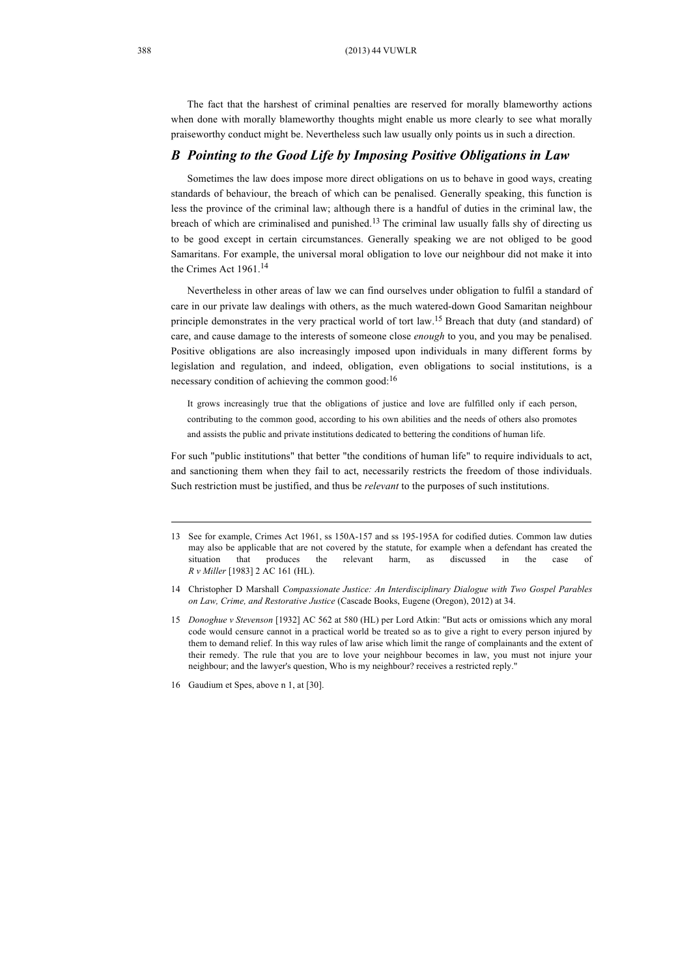The fact that the harshest of criminal penalties are reserved for morally blameworthy actions when done with morally blameworthy thoughts might enable us more clearly to see what morally praiseworthy conduct might be. Nevertheless such law usually only points us in such a direction.

#### *B Pointing to the Good Life by Imposing Positive Obligations in Law*

Sometimes the law does impose more direct obligations on us to behave in good ways, creating standards of behaviour, the breach of which can be penalised. Generally speaking, this function is less the province of the criminal law; although there is a handful of duties in the criminal law, the breach of which are criminalised and punished.<sup>13</sup> The criminal law usually falls shy of directing us to be good except in certain circumstances. Generally speaking we are not obliged to be good Samaritans. For example, the universal moral obligation to love our neighbour did not make it into the Crimes Act 1961.<sup>14</sup>

Nevertheless in other areas of law we can find ourselves under obligation to fulfil a standard of care in our private law dealings with others, as the much watered-down Good Samaritan neighbour principle demonstrates in the very practical world of tort law.<sup>15</sup> Breach that duty (and standard) of care, and cause damage to the interests of someone close *enough* to you, and you may be penalised. Positive obligations are also increasingly imposed upon individuals in many different forms by legislation and regulation, and indeed, obligation, even obligations to social institutions, is a necessary condition of achieving the common good:16

It grows increasingly true that the obligations of justice and love are fulfilled only if each person, contributing to the common good, according to his own abilities and the needs of others also promotes and assists the public and private institutions dedicated to bettering the conditions of human life.

For such "public institutions" that better "the conditions of human life" to require individuals to act, and sanctioning them when they fail to act, necessarily restricts the freedom of those individuals. Such restriction must be justified, and thus be *relevant* to the purposes of such institutions.

- 13 See for example, Crimes Act 1961, ss 150A-157 and ss 195-195A for codified duties. Common law duties may also be applicable that are not covered by the statute, for example when a defendant has created the situation that produces the relevant harm, as discussed in the case *R v Miller* [1983] 2 AC 161 (HL).
- 14 Christopher D Marshall *Compassionate Justice: An Interdisciplinary Dialogue with Two Gospel Parables on Law, Crime, and Restorative Justice* (Cascade Books, Eugene (Oregon), 2012) at 34.
- 15 *Donoghue v Stevenson* [1932] AC 562 at 580 (HL) per Lord Atkin: "But acts or omissions which any moral code would censure cannot in a practical world be treated so as to give a right to every person injured by them to demand relief. In this way rules of law arise which limit the range of complainants and the extent of their remedy. The rule that you are to love your neighbour becomes in law, you must not injure your neighbour; and the lawyer's question, Who is my neighbour? receives a restricted reply."
- 16 Gaudium et Spes, above n 1, at [30].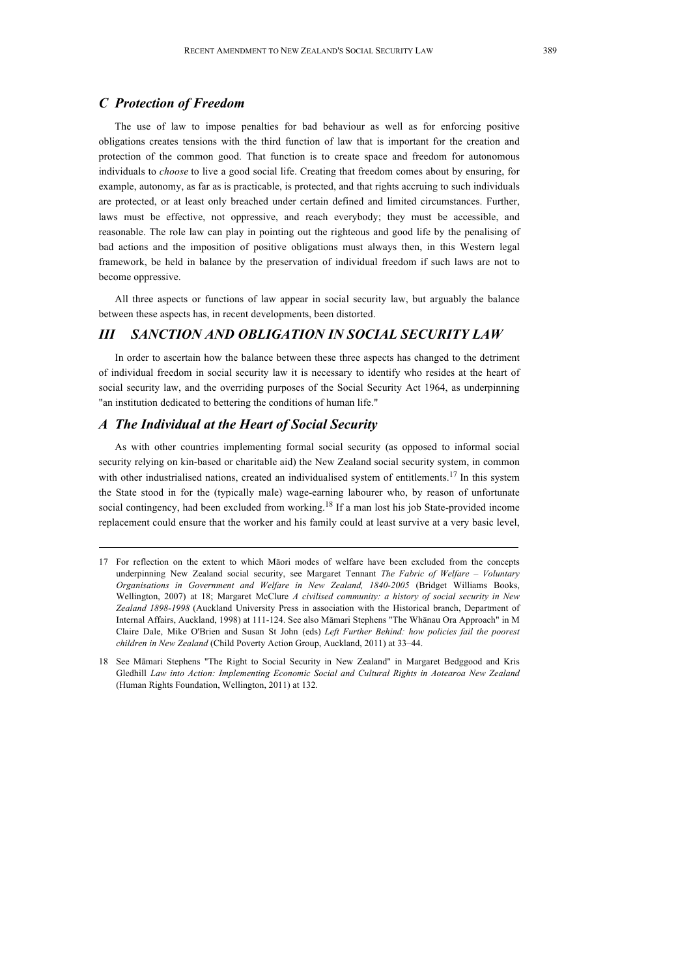#### *C Protection of Freedom*

The use of law to impose penalties for bad behaviour as well as for enforcing positive obligations creates tensions with the third function of law that is important for the creation and protection of the common good. That function is to create space and freedom for autonomous individuals to *choose* to live a good social life. Creating that freedom comes about by ensuring, for example, autonomy, as far as is practicable, is protected, and that rights accruing to such individuals are protected, or at least only breached under certain defined and limited circumstances. Further, laws must be effective, not oppressive, and reach everybody; they must be accessible, and reasonable. The role law can play in pointing out the righteous and good life by the penalising of bad actions and the imposition of positive obligations must always then, in this Western legal framework, be held in balance by the preservation of individual freedom if such laws are not to become oppressive.

All three aspects or functions of law appear in social security law, but arguably the balance between these aspects has, in recent developments, been distorted.

#### *III SANCTION AND OBLIGATION IN SOCIAL SECURITY LAW*

In order to ascertain how the balance between these three aspects has changed to the detriment of individual freedom in social security law it is necessary to identify who resides at the heart of social security law, and the overriding purposes of the Social Security Act 1964, as underpinning "an institution dedicated to bettering the conditions of human life."

## *A The Individual at the Heart of Social Security*

As with other countries implementing formal social security (as opposed to informal social security relying on kin-based or charitable aid) the New Zealand social security system, in common with other industrialised nations, created an individualised system of entitlements.<sup>17</sup> In this system the State stood in for the (typically male) wage-earning labourer who, by reason of unfortunate social contingency, had been excluded from working.<sup>18</sup> If a man lost his job State-provided income replacement could ensure that the worker and his family could at least survive at a very basic level,

<sup>17</sup> For reflection on the extent to which Māori modes of welfare have been excluded from the concepts underpinning New Zealand social security, see Margaret Tennant *The Fabric of Welfare – Voluntary Organisations in Government and Welfare in New Zealand, 1840-2005* (Bridget Williams Books, Wellington, 2007) at 18; Margaret McClure *A civilised community: a history of social security in New Zealand 1898-1998* (Auckland University Press in association with the Historical branch, Department of Internal Affairs, Auckland, 1998) at 111-124. See also Māmari Stephens "The Whānau Ora Approach" in M Claire Dale, Mike O'Brien and Susan St John (eds) *Left Further Behind: how policies fail the poorest children in New Zealand* (Child Poverty Action Group, Auckland, 2011) at 33–44.

<sup>18</sup> See Māmari Stephens "The Right to Social Security in New Zealand" in Margaret Bedggood and Kris Gledhill *Law into Action: Implementing Economic Social and Cultural Rights in Aotearoa New Zealand* (Human Rights Foundation, Wellington, 2011) at 132.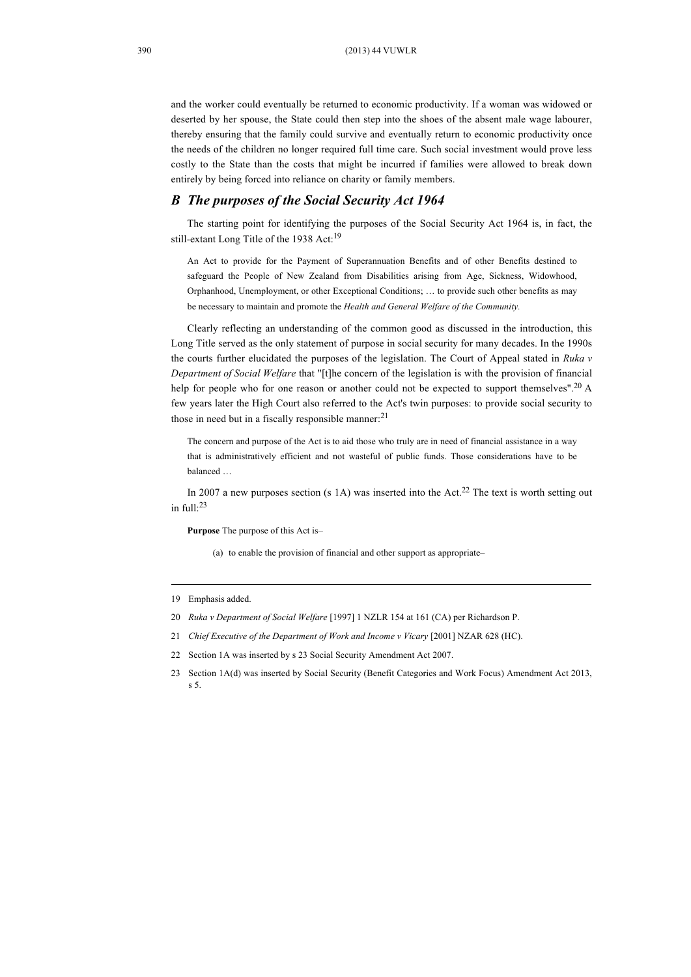and the worker could eventually be returned to economic productivity. If a woman was widowed or deserted by her spouse, the State could then step into the shoes of the absent male wage labourer, thereby ensuring that the family could survive and eventually return to economic productivity once the needs of the children no longer required full time care. Such social investment would prove less costly to the State than the costs that might be incurred if families were allowed to break down entirely by being forced into reliance on charity or family members.

#### *B The purposes of the Social Security Act 1964*

The starting point for identifying the purposes of the Social Security Act 1964 is, in fact, the still-extant Long Title of the 1938 Act:<sup>19</sup>

An Act to provide for the Payment of Superannuation Benefits and of other Benefits destined to safeguard the People of New Zealand from Disabilities arising from Age, Sickness, Widowhood, Orphanhood, Unemployment, or other Exceptional Conditions; … to provide such other benefits as may be necessary to maintain and promote the *Health and General Welfare of the Community.*

Clearly reflecting an understanding of the common good as discussed in the introduction, this Long Title served as the only statement of purpose in social security for many decades. In the 1990s the courts further elucidated the purposes of the legislation. The Court of Appeal stated in *Ruka v Department of Social Welfare* that "[t]he concern of the legislation is with the provision of financial help for people who for one reason or another could not be expected to support themselves".<sup>20</sup> A few years later the High Court also referred to the Act's twin purposes: to provide social security to those in need but in a fiscally responsible manner.<sup>21</sup>

The concern and purpose of the Act is to aid those who truly are in need of financial assistance in a way that is administratively efficient and not wasteful of public funds. Those considerations have to be balanced …

In 2007 a new purposes section (s 1A) was inserted into the Act.<sup>22</sup> The text is worth setting out in full: 23

**Purpose** The purpose of this Act is–

(a) to enable the provision of financial and other support as appropriate–

<sup>19</sup> Emphasis added.

<sup>20</sup> *Ruka v Department of Social Welfare* [1997] 1 NZLR 154 at 161 (CA) per Richardson P.

<sup>21</sup> *Chief Executive of the Department of Work and Income v Vicary* [2001] NZAR 628 (HC).

<sup>22</sup> Section 1A was inserted by s 23 Social Security Amendment Act 2007.

<sup>23</sup> Section 1A(d) was inserted by Social Security (Benefit Categories and Work Focus) Amendment Act 2013, s 5.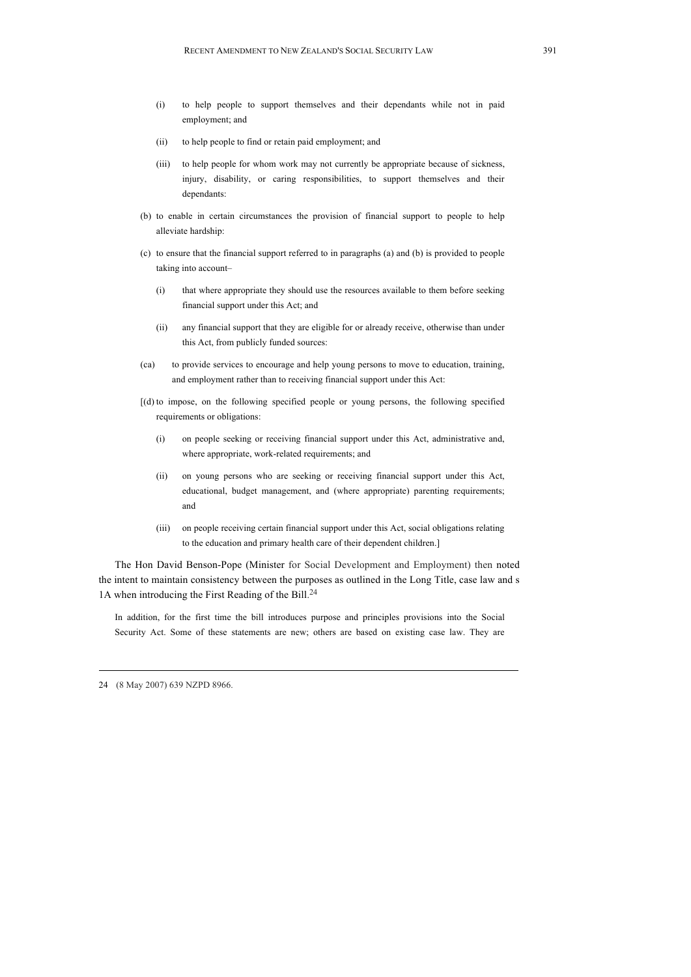- (i) to help people to support themselves and their dependants while not in paid employment; and
- (ii) to help people to find or retain paid employment; and
- (iii) to help people for whom work may not currently be appropriate because of sickness, injury, disability, or caring responsibilities, to support themselves and their dependants:
- (b) to enable in certain circumstances the provision of financial support to people to help alleviate hardship:
- (c) to ensure that the financial support referred to in paragraphs (a) and (b) is provided to people taking into account–
	- (i) that where appropriate they should use the resources available to them before seeking financial support under this Act; and
	- (ii) any financial support that they are eligible for or already receive, otherwise than under this Act, from publicly funded sources:
- (ca) to provide services to encourage and help young persons to move to education, training, and employment rather than to receiving financial support under this Act:
- [(d) to impose, on the following specified people or young persons, the following specified requirements or obligations:
	- (i) on people seeking or receiving financial support under this Act, administrative and, where appropriate, work-related requirements; and
	- (ii) on young persons who are seeking or receiving financial support under this Act, educational, budget management, and (where appropriate) parenting requirements; and
	- (iii) on people receiving certain financial support under this Act, social obligations relating to the education and primary health care of their dependent children.]

The Hon David Benson-Pope (Minister for Social Development and Employment) then noted the intent to maintain consistency between the purposes as outlined in the Long Title, case law and s 1A when introducing the First Reading of the Bill.<sup>24</sup>

In addition, for the first time the bill introduces purpose and principles provisions into the Social Security Act. Some of these statements are new; others are based on existing case law. They are

24 (8 May 2007) 639 NZPD 8966.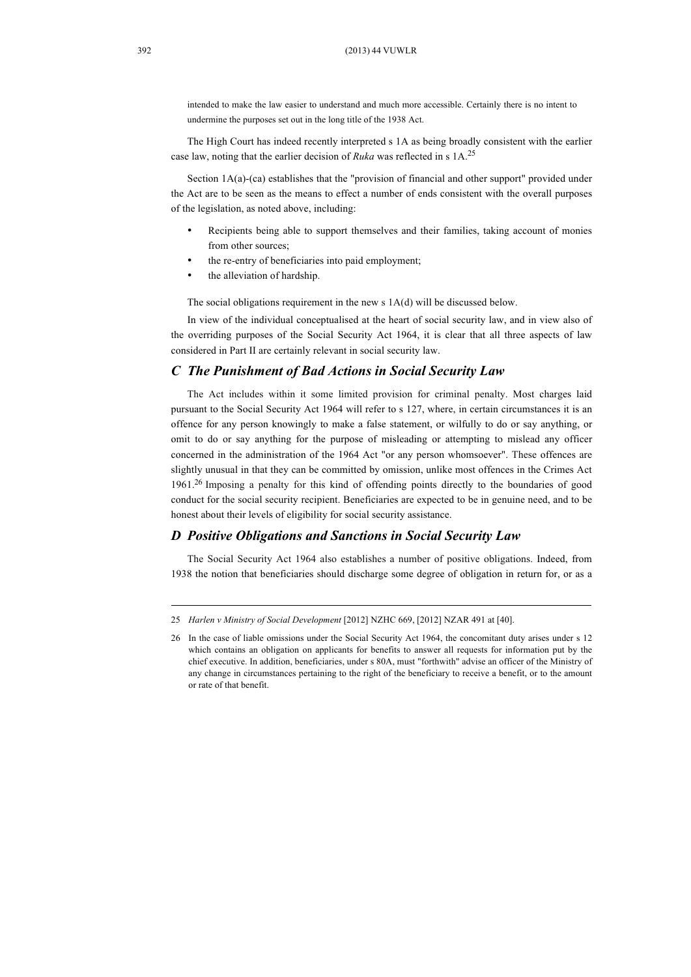intended to make the law easier to understand and much more accessible. Certainly there is no intent to undermine the purposes set out in the long title of the 1938 Act.

The High Court has indeed recently interpreted s 1A as being broadly consistent with the earlier case law, noting that the earlier decision of *Ruka* was reflected in s 1A.25

Section 1A(a)-(ca) establishes that the "provision of financial and other support" provided under the Act are to be seen as the means to effect a number of ends consistent with the overall purposes of the legislation, as noted above, including:

- Recipients being able to support themselves and their families, taking account of monies from other sources;
- the re-entry of beneficiaries into paid employment;
- the alleviation of hardship.

The social obligations requirement in the new s 1A(d) will be discussed below.

In view of the individual conceptualised at the heart of social security law, and in view also of the overriding purposes of the Social Security Act 1964, it is clear that all three aspects of law considered in Part II are certainly relevant in social security law.

#### *C The Punishment of Bad Actions in Social Security Law*

The Act includes within it some limited provision for criminal penalty. Most charges laid pursuant to the Social Security Act 1964 will refer to s 127, where, in certain circumstances it is an offence for any person knowingly to make a false statement, or wilfully to do or say anything, or omit to do or say anything for the purpose of misleading or attempting to mislead any officer concerned in the administration of the 1964 Act "or any person whomsoever". These offences are slightly unusual in that they can be committed by omission, unlike most offences in the Crimes Act 1961.26 Imposing a penalty for this kind of offending points directly to the boundaries of good conduct for the social security recipient. Beneficiaries are expected to be in genuine need, and to be honest about their levels of eligibility for social security assistance.

#### *D Positive Obligations and Sanctions in Social Security Law*

The Social Security Act 1964 also establishes a number of positive obligations. Indeed, from 1938 the notion that beneficiaries should discharge some degree of obligation in return for, or as a

<sup>25</sup> *Harlen v Ministry of Social Development* [2012] NZHC 669, [2012] NZAR 491 at [40].

<sup>26</sup> In the case of liable omissions under the Social Security Act 1964, the concomitant duty arises under s 12 which contains an obligation on applicants for benefits to answer all requests for information put by the chief executive. In addition, beneficiaries, under s 80A, must "forthwith" advise an officer of the Ministry of any change in circumstances pertaining to the right of the beneficiary to receive a benefit, or to the amount or rate of that benefit.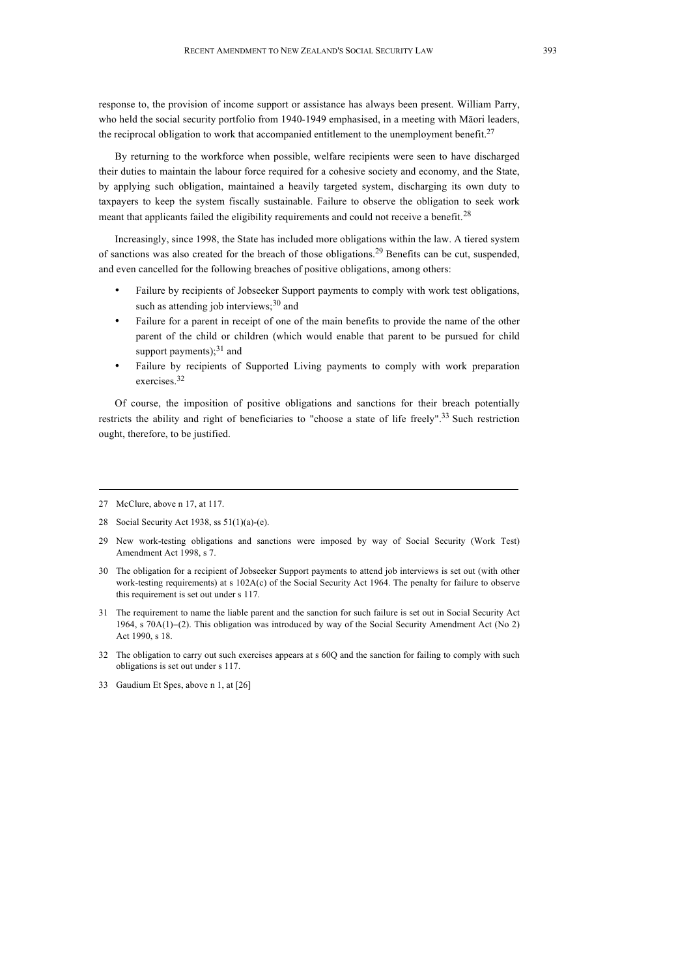response to, the provision of income support or assistance has always been present. William Parry, who held the social security portfolio from 1940-1949 emphasised, in a meeting with Māori leaders, the reciprocal obligation to work that accompanied entitlement to the unemployment benefit.<sup>27</sup>

By returning to the workforce when possible, welfare recipients were seen to have discharged their duties to maintain the labour force required for a cohesive society and economy, and the State, by applying such obligation, maintained a heavily targeted system, discharging its own duty to taxpayers to keep the system fiscally sustainable. Failure to observe the obligation to seek work meant that applicants failed the eligibility requirements and could not receive a benefit.<sup>28</sup>

Increasingly, since 1998, the State has included more obligations within the law. A tiered system of sanctions was also created for the breach of those obligations.<sup>29</sup> Benefits can be cut, suspended, and even cancelled for the following breaches of positive obligations, among others:

- Failure by recipients of Jobseeker Support payments to comply with work test obligations, such as attending job interviews; $30$  and
- Failure for a parent in receipt of one of the main benefits to provide the name of the other parent of the child or children (which would enable that parent to be pursued for child support payments); $^{31}$  and
- Failure by recipients of Supported Living payments to comply with work preparation exercises. 32

Of course, the imposition of positive obligations and sanctions for their breach potentially restricts the ability and right of beneficiaries to "choose a state of life freely".<sup>33</sup> Such restriction ought, therefore, to be justified.

<sup>27</sup> McClure, above n 17, at 117.

<sup>28</sup> Social Security Act 1938, ss 51(1)(a)-(e).

<sup>29</sup> New work-testing obligations and sanctions were imposed by way of Social Security (Work Test) Amendment Act 1998, s 7.

<sup>30</sup> The obligation for a recipient of Jobseeker Support payments to attend job interviews is set out (with other work-testing requirements) at s 102A(c) of the Social Security Act 1964. The penalty for failure to observe this requirement is set out under s 117.

<sup>31</sup> The requirement to name the liable parent and the sanction for such failure is set out in Social Security Act 1964, s 70A(1)−(2). This obligation was introduced by way of the Social Security Amendment Act (No 2) Act 1990, s 18.

<sup>32</sup> The obligation to carry out such exercises appears at s 60Q and the sanction for failing to comply with such obligations is set out under s 117.

<sup>33</sup> Gaudium Et Spes, above n 1, at [26]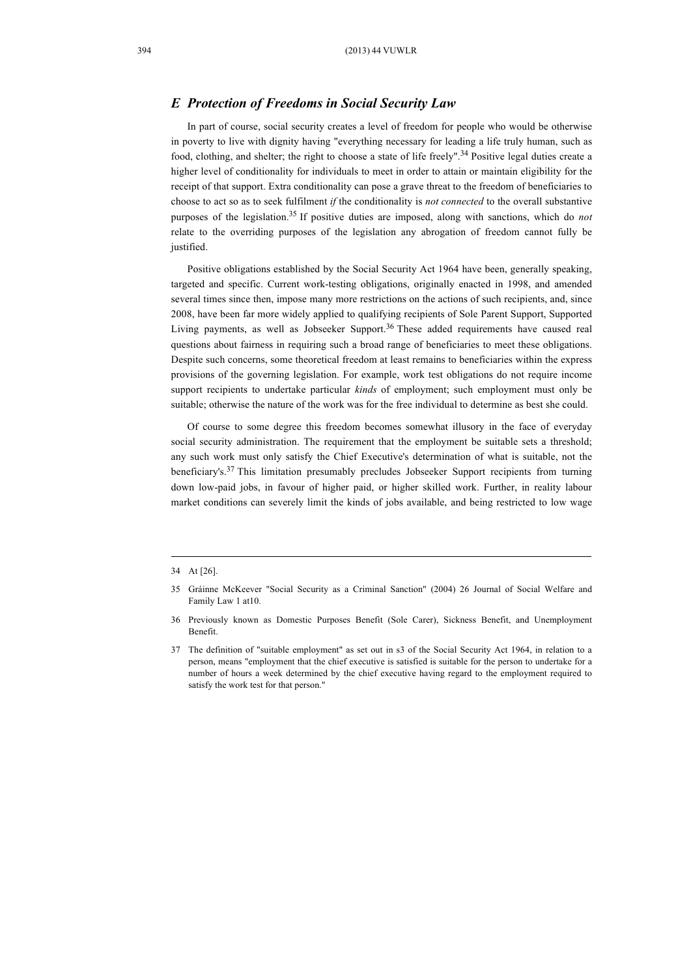#### *E Protection of Freedoms in Social Security Law*

In part of course, social security creates a level of freedom for people who would be otherwise in poverty to live with dignity having "everything necessary for leading a life truly human, such as food, clothing, and shelter; the right to choose a state of life freely".<sup>34</sup> Positive legal duties create a higher level of conditionality for individuals to meet in order to attain or maintain eligibility for the receipt of that support. Extra conditionality can pose a grave threat to the freedom of beneficiaries to choose to act so as to seek fulfilment *if* the conditionality is *not connected* to the overall substantive purposes of the legislation.35 If positive duties are imposed, along with sanctions, which do *not*  relate to the overriding purposes of the legislation any abrogation of freedom cannot fully be justified.

Positive obligations established by the Social Security Act 1964 have been, generally speaking, targeted and specific. Current work-testing obligations, originally enacted in 1998, and amended several times since then, impose many more restrictions on the actions of such recipients, and, since 2008, have been far more widely applied to qualifying recipients of Sole Parent Support, Supported Living payments, as well as Jobseeker Support.<sup>36</sup> These added requirements have caused real questions about fairness in requiring such a broad range of beneficiaries to meet these obligations. Despite such concerns, some theoretical freedom at least remains to beneficiaries within the express provisions of the governing legislation. For example, work test obligations do not require income support recipients to undertake particular *kinds* of employment; such employment must only be suitable; otherwise the nature of the work was for the free individual to determine as best she could.

Of course to some degree this freedom becomes somewhat illusory in the face of everyday social security administration. The requirement that the employment be suitable sets a threshold; any such work must only satisfy the Chief Executive's determination of what is suitable, not the beneficiary's.37 This limitation presumably precludes Jobseeker Support recipients from turning down low-paid jobs, in favour of higher paid, or higher skilled work. Further, in reality labour market conditions can severely limit the kinds of jobs available, and being restricted to low wage

<sup>34</sup> At [26].

<sup>35</sup> Gráinne McKeever "Social Security as a Criminal Sanction" (2004) 26 Journal of Social Welfare and Family Law 1 at10.

<sup>36</sup> Previously known as Domestic Purposes Benefit (Sole Carer), Sickness Benefit, and Unemployment Benefit.

<sup>37</sup> The definition of "suitable employment" as set out in s3 of the Social Security Act 1964, in relation to a person, means "employment that the chief executive is satisfied is suitable for the person to undertake for a number of hours a week determined by the chief executive having regard to the employment required to satisfy the work test for that person."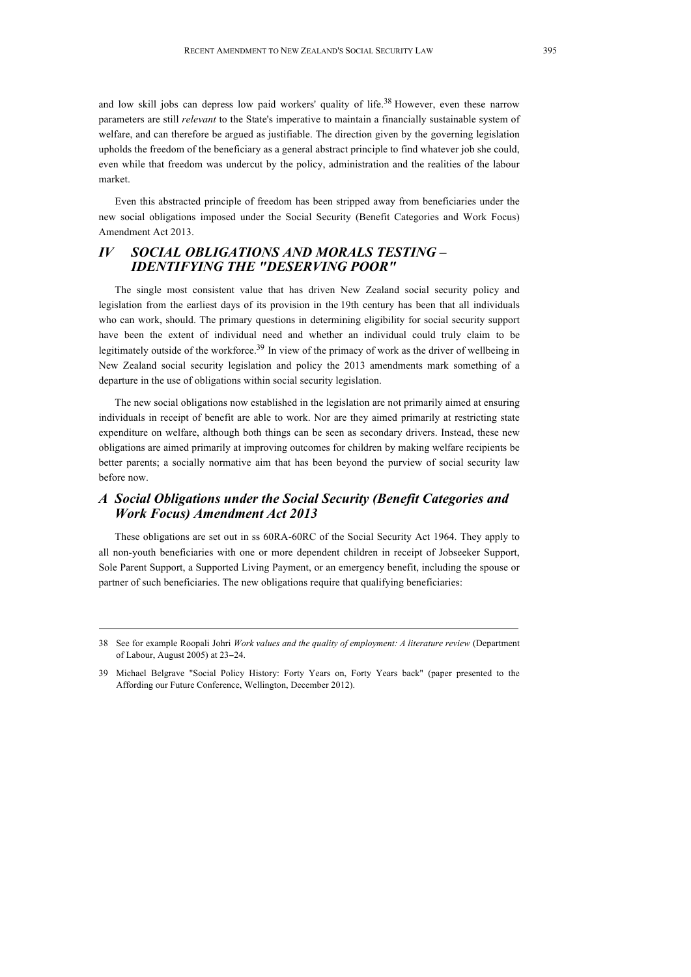and low skill jobs can depress low paid workers' quality of life.<sup>38</sup> However, even these narrow parameters are still *relevant* to the State's imperative to maintain a financially sustainable system of welfare, and can therefore be argued as justifiable. The direction given by the governing legislation upholds the freedom of the beneficiary as a general abstract principle to find whatever job she could, even while that freedom was undercut by the policy, administration and the realities of the labour market.

Even this abstracted principle of freedom has been stripped away from beneficiaries under the new social obligations imposed under the Social Security (Benefit Categories and Work Focus) Amendment Act 2013.

# *IV SOCIAL OBLIGATIONS AND MORALS TESTING – IDENTIFYING THE "DESERVING POOR"*

The single most consistent value that has driven New Zealand social security policy and legislation from the earliest days of its provision in the 19th century has been that all individuals who can work, should. The primary questions in determining eligibility for social security support have been the extent of individual need and whether an individual could truly claim to be legitimately outside of the workforce.<sup>39</sup> In view of the primacy of work as the driver of wellbeing in New Zealand social security legislation and policy the 2013 amendments mark something of a departure in the use of obligations within social security legislation.

The new social obligations now established in the legislation are not primarily aimed at ensuring individuals in receipt of benefit are able to work. Nor are they aimed primarily at restricting state expenditure on welfare, although both things can be seen as secondary drivers. Instead, these new obligations are aimed primarily at improving outcomes for children by making welfare recipients be better parents; a socially normative aim that has been beyond the purview of social security law before now.

# *A Social Obligations under the Social Security (Benefit Categories and Work Focus) Amendment Act 2013*

These obligations are set out in ss 60RA-60RC of the Social Security Act 1964. They apply to all non-youth beneficiaries with one or more dependent children in receipt of Jobseeker Support, Sole Parent Support, a Supported Living Payment, or an emergency benefit, including the spouse or partner of such beneficiaries. The new obligations require that qualifying beneficiaries:

<sup>38</sup> See for example Roopali Johri *Work values and the quality of employment: A literature review* (Department of Labour, August 2005) at 23−24.

<sup>39</sup> Michael Belgrave "Social Policy History: Forty Years on, Forty Years back" (paper presented to the Affording our Future Conference, Wellington, December 2012).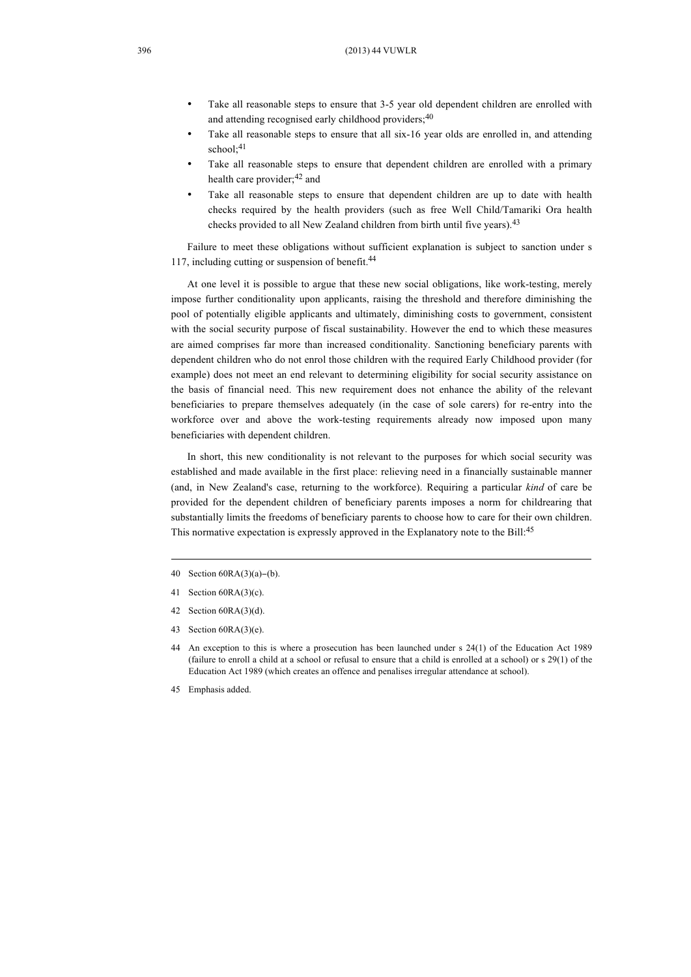- Take all reasonable steps to ensure that 3-5 year old dependent children are enrolled with and attending recognised early childhood providers;<sup>40</sup>
- Take all reasonable steps to ensure that all six-16 year olds are enrolled in, and attending school: $41$
- Take all reasonable steps to ensure that dependent children are enrolled with a primary health care provider;<sup>42</sup> and
- Take all reasonable steps to ensure that dependent children are up to date with health checks required by the health providers (such as free Well Child/Tamariki Ora health checks provided to all New Zealand children from birth until five years).<sup>43</sup>

Failure to meet these obligations without sufficient explanation is subject to sanction under s 117, including cutting or suspension of benefit.<sup>44</sup>

At one level it is possible to argue that these new social obligations, like work-testing, merely impose further conditionality upon applicants, raising the threshold and therefore diminishing the pool of potentially eligible applicants and ultimately, diminishing costs to government, consistent with the social security purpose of fiscal sustainability. However the end to which these measures are aimed comprises far more than increased conditionality. Sanctioning beneficiary parents with dependent children who do not enrol those children with the required Early Childhood provider (for example) does not meet an end relevant to determining eligibility for social security assistance on the basis of financial need. This new requirement does not enhance the ability of the relevant beneficiaries to prepare themselves adequately (in the case of sole carers) for re-entry into the workforce over and above the work-testing requirements already now imposed upon many beneficiaries with dependent children.

In short, this new conditionality is not relevant to the purposes for which social security was established and made available in the first place: relieving need in a financially sustainable manner (and, in New Zealand's case, returning to the workforce). Requiring a particular *kind* of care be provided for the dependent children of beneficiary parents imposes a norm for childrearing that substantially limits the freedoms of beneficiary parents to choose how to care for their own children. This normative expectation is expressly approved in the Explanatory note to the Bill:<sup>45</sup>

- 40 Section 60RA(3)(a)−(b).
- 41 Section 60RA(3)(c).
- 42 Section 60RA(3)(d).
- 43 Section 60RA(3)(e).
- 44 An exception to this is where a prosecution has been launched under s 24(1) of the Education Act 1989 (failure to enroll a child at a school or refusal to ensure that a child is enrolled at a school) or s 29(1) of the Education Act 1989 (which creates an offence and penalises irregular attendance at school).
- 45 Emphasis added.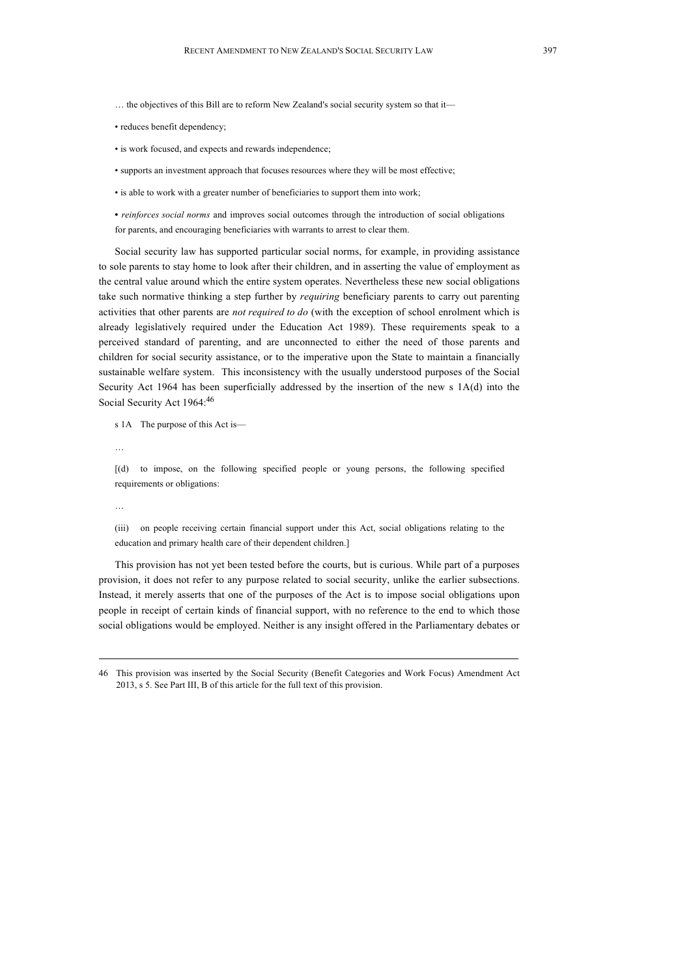- … the objectives of this Bill are to reform New Zealand's social security system so that it—
- reduces benefit dependency;
- is work focused, and expects and rewards independence;
- supports an investment approach that focuses resources where they will be most effective;
- is able to work with a greater number of beneficiaries to support them into work;

**•** *reinforces social norms* and improves social outcomes through the introduction of social obligations for parents, and encouraging beneficiaries with warrants to arrest to clear them.

Social security law has supported particular social norms, for example, in providing assistance to sole parents to stay home to look after their children, and in asserting the value of employment as the central value around which the entire system operates. Nevertheless these new social obligations take such normative thinking a step further by *requiring* beneficiary parents to carry out parenting activities that other parents are *not required to do* (with the exception of school enrolment which is already legislatively required under the Education Act 1989). These requirements speak to a perceived standard of parenting, and are unconnected to either the need of those parents and children for social security assistance, or to the imperative upon the State to maintain a financially sustainable welfare system. This inconsistency with the usually understood purposes of the Social Security Act 1964 has been superficially addressed by the insertion of the new s 1A(d) into the Social Security Act 1964:46

s 1A The purpose of this Act is—

…

[(d) to impose, on the following specified people or young persons, the following specified requirements or obligations:

…

(iii) on people receiving certain financial support under this Act, social obligations relating to the education and primary health care of their dependent children.]

This provision has not yet been tested before the courts, but is curious. While part of a purposes provision, it does not refer to any purpose related to social security, unlike the earlier subsections. Instead, it merely asserts that one of the purposes of the Act is to impose social obligations upon people in receipt of certain kinds of financial support, with no reference to the end to which those social obligations would be employed. Neither is any insight offered in the Parliamentary debates or

<sup>46</sup> This provision was inserted by the Social Security (Benefit Categories and Work Focus) Amendment Act 2013, s 5. See Part III, B of this article for the full text of this provision.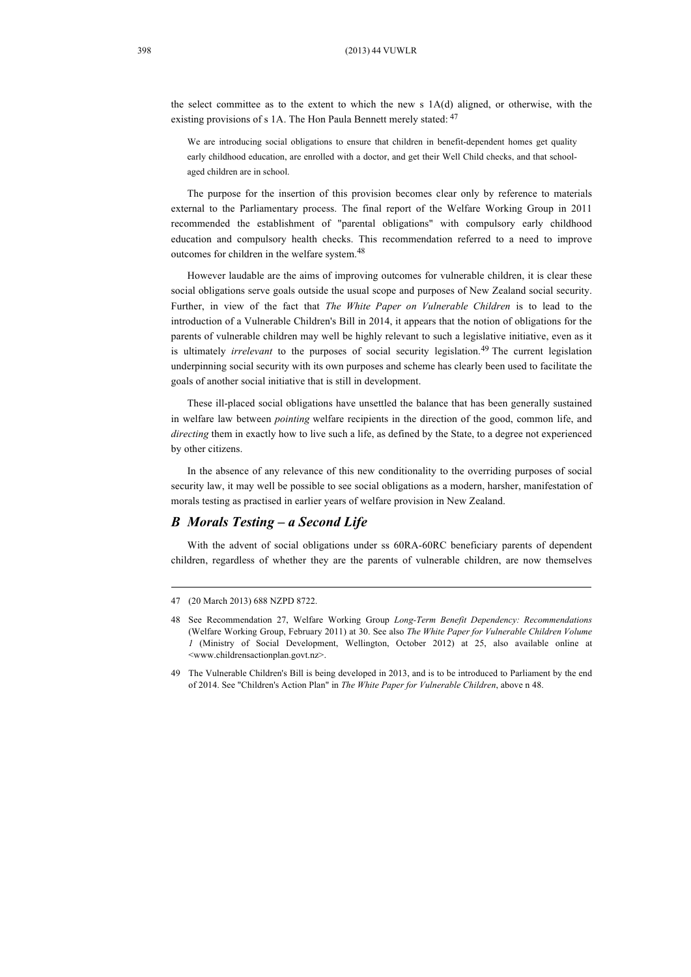the select committee as to the extent to which the new s 1A(d) aligned, or otherwise, with the existing provisions of s 1A. The Hon Paula Bennett merely stated:  $47$ 

We are introducing social obligations to ensure that children in benefit-dependent homes get quality early childhood education, are enrolled with a doctor, and get their Well Child checks, and that schoolaged children are in school.

The purpose for the insertion of this provision becomes clear only by reference to materials external to the Parliamentary process. The final report of the Welfare Working Group in 2011 recommended the establishment of "parental obligations" with compulsory early childhood education and compulsory health checks. This recommendation referred to a need to improve outcomes for children in the welfare system. 48

However laudable are the aims of improving outcomes for vulnerable children, it is clear these social obligations serve goals outside the usual scope and purposes of New Zealand social security. Further, in view of the fact that *The White Paper on Vulnerable Children* is to lead to the introduction of a Vulnerable Children's Bill in 2014, it appears that the notion of obligations for the parents of vulnerable children may well be highly relevant to such a legislative initiative, even as it is ultimately *irrelevant* to the purposes of social security legislation. <sup>49</sup> The current legislation underpinning social security with its own purposes and scheme has clearly been used to facilitate the goals of another social initiative that is still in development.

These ill-placed social obligations have unsettled the balance that has been generally sustained in welfare law between *pointing* welfare recipients in the direction of the good, common life, and *directing* them in exactly how to live such a life, as defined by the State, to a degree not experienced by other citizens.

In the absence of any relevance of this new conditionality to the overriding purposes of social security law, it may well be possible to see social obligations as a modern, harsher, manifestation of morals testing as practised in earlier years of welfare provision in New Zealand.

## *B Morals Testing – a Second Life*

With the advent of social obligations under ss 60RA-60RC beneficiary parents of dependent children, regardless of whether they are the parents of vulnerable children, are now themselves

<sup>47</sup> (20 March 2013) 688 NZPD 8722.

<sup>48</sup> See Recommendation 27, Welfare Working Group *Long-Term Benefit Dependency: Recommendations* (Welfare Working Group, February 2011) at 30. See also *The White Paper for Vulnerable Children Volume 1* (Ministry of Social Development, Wellington, October 2012) at 25, also available online at <www.childrensactionplan.govt.nz>.

<sup>49</sup> The Vulnerable Children's Bill is being developed in 2013, and is to be introduced to Parliament by the end of 2014. See "Children's Action Plan" in *The White Paper for Vulnerable Children*, above n 48.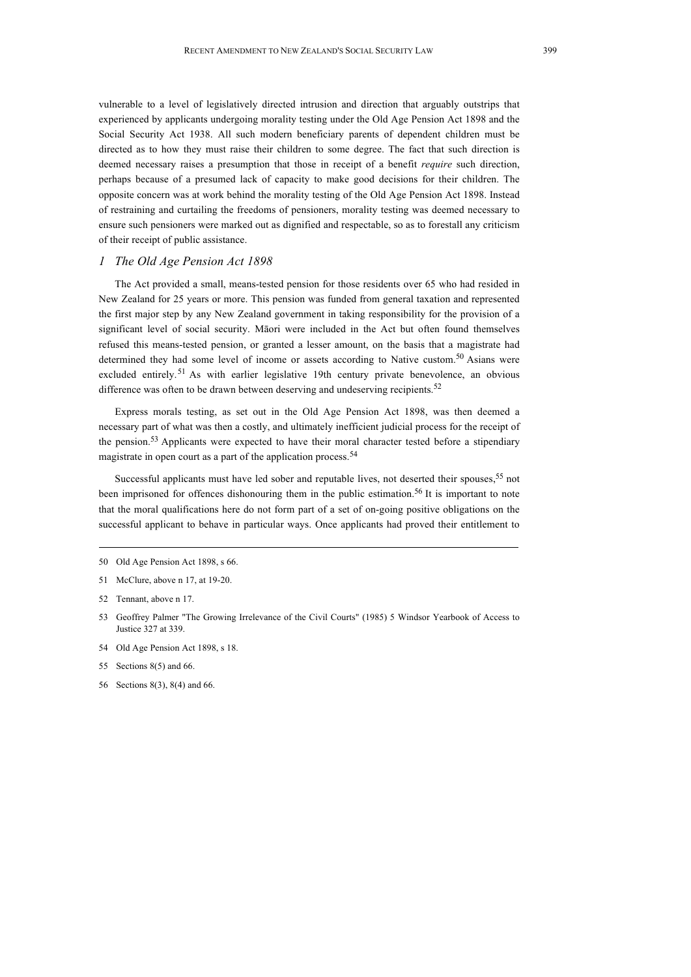vulnerable to a level of legislatively directed intrusion and direction that arguably outstrips that experienced by applicants undergoing morality testing under the Old Age Pension Act 1898 and the Social Security Act 1938. All such modern beneficiary parents of dependent children must be directed as to how they must raise their children to some degree. The fact that such direction is deemed necessary raises a presumption that those in receipt of a benefit *require* such direction, perhaps because of a presumed lack of capacity to make good decisions for their children. The opposite concern was at work behind the morality testing of the Old Age Pension Act 1898. Instead of restraining and curtailing the freedoms of pensioners, morality testing was deemed necessary to ensure such pensioners were marked out as dignified and respectable, so as to forestall any criticism of their receipt of public assistance.

#### *1 The Old Age Pension Act 1898*

The Act provided a small, means-tested pension for those residents over 65 who had resided in New Zealand for 25 years or more. This pension was funded from general taxation and represented the first major step by any New Zealand government in taking responsibility for the provision of a significant level of social security. Māori were included in the Act but often found themselves refused this means-tested pension, or granted a lesser amount, on the basis that a magistrate had determined they had some level of income or assets according to Native custom.<sup>50</sup> Asians were excluded entirely.<sup>51</sup> As with earlier legislative 19th century private benevolence, an obvious difference was often to be drawn between deserving and undeserving recipients.<sup>52</sup>

Express morals testing, as set out in the Old Age Pension Act 1898, was then deemed a necessary part of what was then a costly, and ultimately inefficient judicial process for the receipt of the pension.<sup>53</sup> Applicants were expected to have their moral character tested before a stipendiary magistrate in open court as a part of the application process.<sup>54</sup>

Successful applicants must have led sober and reputable lives, not deserted their spouses,<sup>55</sup> not been imprisoned for offences dishonouring them in the public estimation.<sup>56</sup> It is important to note that the moral qualifications here do not form part of a set of on-going positive obligations on the successful applicant to behave in particular ways. Once applicants had proved their entitlement to

54 Old Age Pension Act 1898, s 18.

56 Sections 8(3), 8(4) and 66.

<sup>50</sup> Old Age Pension Act 1898, s 66.

<sup>51</sup> McClure, above n 17, at 19-20.

<sup>52</sup> Tennant, above n 17.

<sup>53</sup> Geoffrey Palmer "The Growing Irrelevance of the Civil Courts" (1985) 5 Windsor Yearbook of Access to Justice 327 at 339.

<sup>55</sup> Sections 8(5) and 66.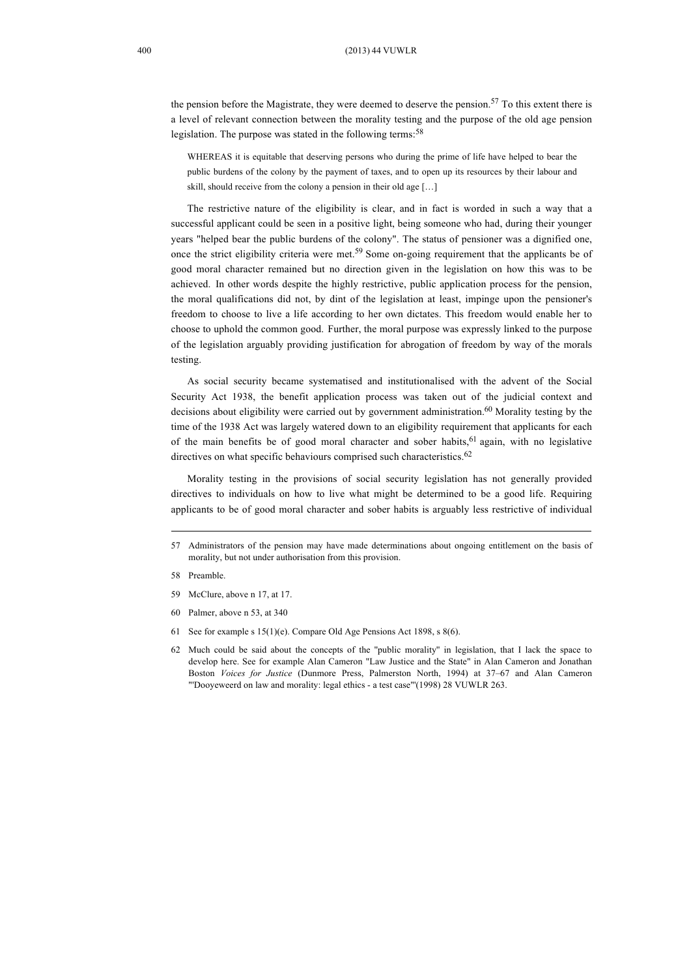the pension before the Magistrate, they were deemed to deserve the pension. <sup>57</sup> To this extent there is a level of relevant connection between the morality testing and the purpose of the old age pension legislation. The purpose was stated in the following terms:<sup>58</sup>

WHEREAS it is equitable that deserving persons who during the prime of life have helped to bear the public burdens of the colony by the payment of taxes, and to open up its resources by their labour and skill, should receive from the colony a pension in their old age […]

The restrictive nature of the eligibility is clear, and in fact is worded in such a way that a successful applicant could be seen in a positive light, being someone who had, during their younger years "helped bear the public burdens of the colony". The status of pensioner was a dignified one, once the strict eligibility criteria were met.<sup>59</sup> Some on-going requirement that the applicants be of good moral character remained but no direction given in the legislation on how this was to be achieved. In other words despite the highly restrictive, public application process for the pension, the moral qualifications did not, by dint of the legislation at least, impinge upon the pensioner's freedom to choose to live a life according to her own dictates. This freedom would enable her to choose to uphold the common good. Further, the moral purpose was expressly linked to the purpose of the legislation arguably providing justification for abrogation of freedom by way of the morals testing.

As social security became systematised and institutionalised with the advent of the Social Security Act 1938, the benefit application process was taken out of the judicial context and decisions about eligibility were carried out by government administration.<sup>60</sup> Morality testing by the time of the 1938 Act was largely watered down to an eligibility requirement that applicants for each of the main benefits be of good moral character and sober habits, 61 again, with no legislative directives on what specific behaviours comprised such characteristics.<sup>62</sup>

Morality testing in the provisions of social security legislation has not generally provided directives to individuals on how to live what might be determined to be a good life. Requiring applicants to be of good moral character and sober habits is arguably less restrictive of individual

- 59 McClure, above n 17, at 17.
- 60 Palmer, above n 53, at 340
- 61 See for example s 15(1)(e). Compare Old Age Pensions Act 1898, s 8(6).
- 62 Much could be said about the concepts of the ''public morality'' in legislation, that I lack the space to develop here. See for example Alan Cameron "Law Justice and the State" in Alan Cameron and Jonathan Boston *Voices for Justice* (Dunmore Press, Palmerston North, 1994) at 37–67 and Alan Cameron "'Dooyeweerd on law and morality: legal ethics - a test case"'(1998) 28 VUWLR 263.

<sup>57</sup> Administrators of the pension may have made determinations about ongoing entitlement on the basis of morality, but not under authorisation from this provision.

<sup>58</sup> Preamble.